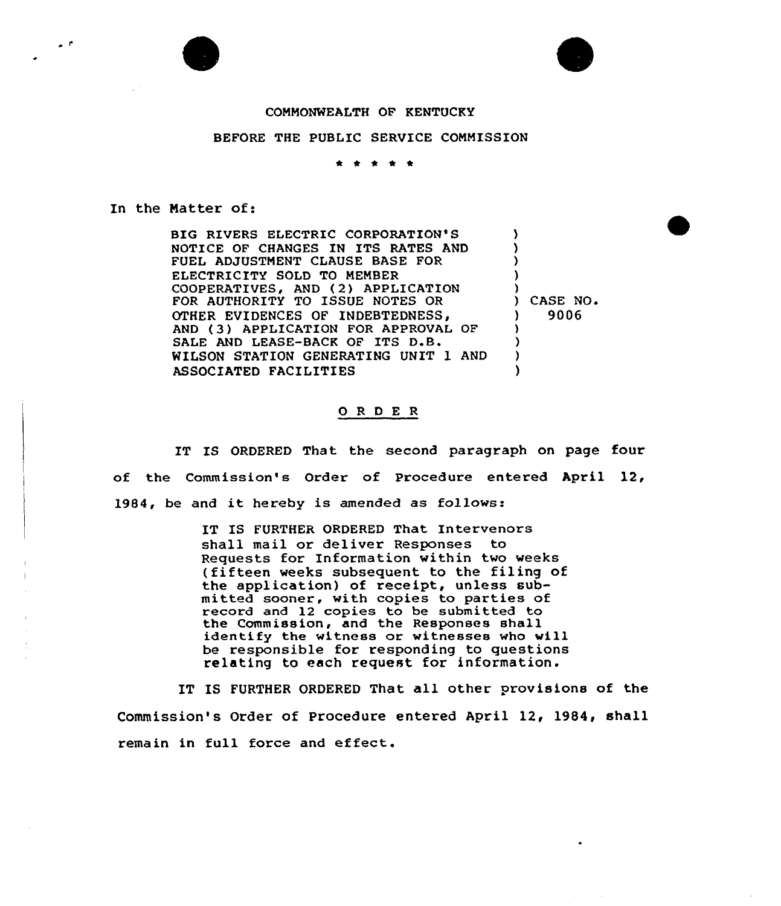## COMMONWEALTH OF KENTUCKY

## BEFORE THE PUBLIC SERVICE COMMISSION

\* \* \* \* \*

## In the Natter of:

 $\rightarrow$  f

BIG RIVERS ELECTRIC CORPORATION'S NOTICE OF CHANGES IN ITS RATES AND FUEL ADJUSTMENT CLAUSE BASE FOR ELECTRICITY SOLD 'TO MEMBER COOPERATIVES, AND (2) APPLICATION FOR AUTHORITY TO ISSUE NOTES OR OTHER EVIDENCES OF INDEBTEDNESS,<br>AND (3) APPLICATION FOR APPROVAL OF SALE AND LEASE-BACK OF ITS D.B. WILSON STATION GENERATING UNIT 1 AND ASSOCIATED FACILITIES ) ) ) ) ) ) CASE NO ) 9006 ) ) ) )

## ORDER

IT IS ORDERED That the second paragraph on page four of the Commission's Order of Procedure entered April 12, 1984, be and it hereby is amended as follows:

> IT IS FURTHER ORDERED That Intervenors shall mail or deliver Responses to Requests for Information within two weeks (fifteen weeks subsequent to the filing of the application) of receipt, unless submitted sooner, with copies to parties of record and 12 copies to be submitted to the Commission, and the Responses shall identify the witness or witnesses who will be responsible for responding to questions relating to each request for information.

IT IS FURTHER ORDERED That all other provisions of the Commission's Order of Procedure entered April 12, 1984, shall remain in full force and effect,.